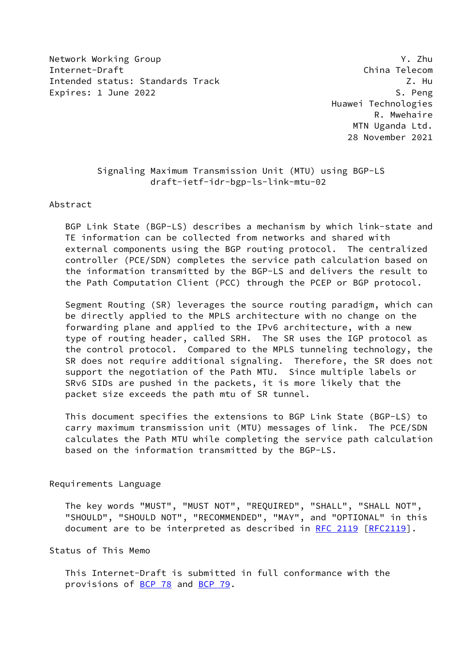Network Working Group Y. Zhu Internet-Draft China Telecom Intended status: Standards Track Z. Hu Expires: 1 June 2022 S. Peng

 Huawei Technologies R. Mwehaire MTN Uganda Ltd. 28 November 2021

# Signaling Maximum Transmission Unit (MTU) using BGP-LS draft-ietf-idr-bgp-ls-link-mtu-02

Abstract

 BGP Link State (BGP-LS) describes a mechanism by which link-state and TE information can be collected from networks and shared with external components using the BGP routing protocol. The centralized controller (PCE/SDN) completes the service path calculation based on the information transmitted by the BGP-LS and delivers the result to the Path Computation Client (PCC) through the PCEP or BGP protocol.

 Segment Routing (SR) leverages the source routing paradigm, which can be directly applied to the MPLS architecture with no change on the forwarding plane and applied to the IPv6 architecture, with a new type of routing header, called SRH. The SR uses the IGP protocol as the control protocol. Compared to the MPLS tunneling technology, the SR does not require additional signaling. Therefore, the SR does not support the negotiation of the Path MTU. Since multiple labels or SRv6 SIDs are pushed in the packets, it is more likely that the packet size exceeds the path mtu of SR tunnel.

 This document specifies the extensions to BGP Link State (BGP-LS) to carry maximum transmission unit (MTU) messages of link. The PCE/SDN calculates the Path MTU while completing the service path calculation based on the information transmitted by the BGP-LS.

### Requirements Language

 The key words "MUST", "MUST NOT", "REQUIRED", "SHALL", "SHALL NOT", "SHOULD", "SHOULD NOT", "RECOMMENDED", "MAY", and "OPTIONAL" in this document are to be interpreted as described in [RFC 2119 \[RFC2119](https://datatracker.ietf.org/doc/pdf/rfc2119)].

### Status of This Memo

 This Internet-Draft is submitted in full conformance with the provisions of [BCP 78](https://datatracker.ietf.org/doc/pdf/bcp78) and [BCP 79](https://datatracker.ietf.org/doc/pdf/bcp79).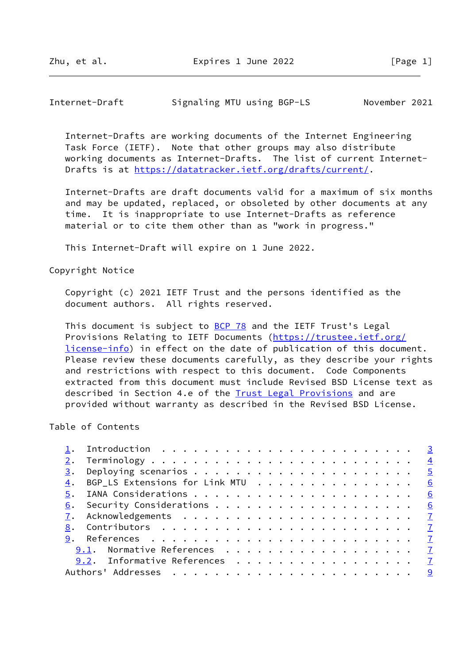Internet-Draft Signaling MTU using BGP-LS November 2021

 Internet-Drafts are working documents of the Internet Engineering Task Force (IETF). Note that other groups may also distribute working documents as Internet-Drafts. The list of current Internet- Drafts is at<https://datatracker.ietf.org/drafts/current/>.

 Internet-Drafts are draft documents valid for a maximum of six months and may be updated, replaced, or obsoleted by other documents at any time. It is inappropriate to use Internet-Drafts as reference material or to cite them other than as "work in progress."

This Internet-Draft will expire on 1 June 2022.

Copyright Notice

 Copyright (c) 2021 IETF Trust and the persons identified as the document authors. All rights reserved.

This document is subject to **[BCP 78](https://datatracker.ietf.org/doc/pdf/bcp78)** and the IETF Trust's Legal Provisions Relating to IETF Documents ([https://trustee.ietf.org/](https://trustee.ietf.org/license-info) [license-info](https://trustee.ietf.org/license-info)) in effect on the date of publication of this document. Please review these documents carefully, as they describe your rights and restrictions with respect to this document. Code Components extracted from this document must include Revised BSD License text as described in Section 4.e of the **Trust Legal Provisions** and are provided without warranty as described in the Revised BSD License.

Table of Contents

| BGP_LS Extensions for Link MTU $\cdots$ 6 |
|-------------------------------------------|
|                                           |
|                                           |
|                                           |
|                                           |
|                                           |
|                                           |
|                                           |
|                                           |
| 9.1. Normative References 7               |
| 9.2. Informative References 7             |
|                                           |
|                                           |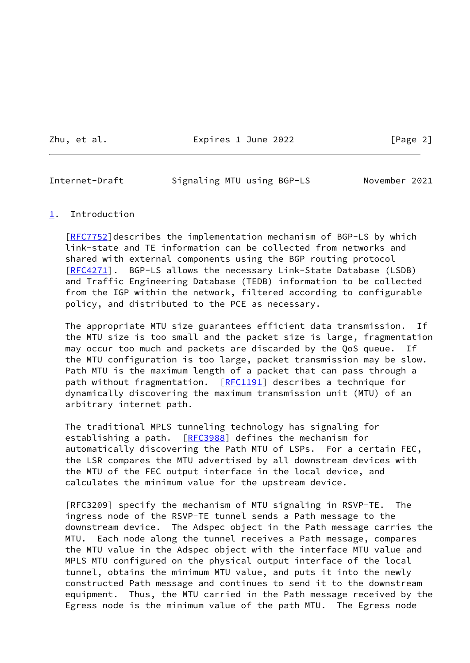Zhu, et al. **Expires 1 June 2022** [Page 2]

## <span id="page-2-1"></span>Internet-Draft Signaling MTU using BGP-LS November 2021

### <span id="page-2-0"></span>[1](#page-2-0). Introduction

[\[RFC7752](https://datatracker.ietf.org/doc/pdf/rfc7752)]describes the implementation mechanism of BGP-LS by which link-state and TE information can be collected from networks and shared with external components using the BGP routing protocol [\[RFC4271](https://datatracker.ietf.org/doc/pdf/rfc4271)]. BGP-LS allows the necessary Link-State Database (LSDB) and Traffic Engineering Database (TEDB) information to be collected from the IGP within the network, filtered according to configurable policy, and distributed to the PCE as necessary.

 The appropriate MTU size guarantees efficient data transmission. If the MTU size is too small and the packet size is large, fragmentation may occur too much and packets are discarded by the QoS queue. If the MTU configuration is too large, packet transmission may be slow. Path MTU is the maximum length of a packet that can pass through a path without fragmentation. [\[RFC1191](https://datatracker.ietf.org/doc/pdf/rfc1191)] describes a technique for dynamically discovering the maximum transmission unit (MTU) of an arbitrary internet path.

 The traditional MPLS tunneling technology has signaling for establishing a path. [[RFC3988](https://datatracker.ietf.org/doc/pdf/rfc3988)] defines the mechanism for automatically discovering the Path MTU of LSPs. For a certain FEC, the LSR compares the MTU advertised by all downstream devices with the MTU of the FEC output interface in the local device, and calculates the minimum value for the upstream device.

 [RFC3209] specify the mechanism of MTU signaling in RSVP-TE. The ingress node of the RSVP-TE tunnel sends a Path message to the downstream device. The Adspec object in the Path message carries the MTU. Each node along the tunnel receives a Path message, compares the MTU value in the Adspec object with the interface MTU value and MPLS MTU configured on the physical output interface of the local tunnel, obtains the minimum MTU value, and puts it into the newly constructed Path message and continues to send it to the downstream equipment. Thus, the MTU carried in the Path message received by the Egress node is the minimum value of the path MTU. The Egress node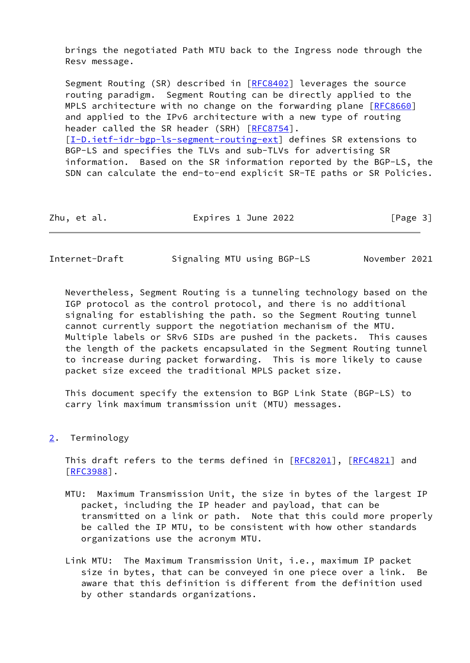brings the negotiated Path MTU back to the Ingress node through the Resv message.

Segment Routing (SR) described in [[RFC8402](https://datatracker.ietf.org/doc/pdf/rfc8402)] leverages the source routing paradigm. Segment Routing can be directly applied to the MPLS architecture with no change on the forwarding plane [\[RFC8660](https://datatracker.ietf.org/doc/pdf/rfc8660)] and applied to the IPv6 architecture with a new type of routing header called the SR header (SRH) [[RFC8754](https://datatracker.ietf.org/doc/pdf/rfc8754)]. [\[I-D.ietf-idr-bgp-ls-segment-routing-ext](#page-7-3)] defines SR extensions to BGP-LS and specifies the TLVs and sub-TLVs for advertising SR information. Based on the SR information reported by the BGP-LS, the SDN can calculate the end-to-end explicit SR-TE paths or SR Policies.

| Zhu, et al. | Expires 1 June 2022 | [Page 3] |
|-------------|---------------------|----------|
|             |                     |          |

<span id="page-3-1"></span>

| Internet-Draft | Signaling MTU using BGP-LS | November 2021 |
|----------------|----------------------------|---------------|
|----------------|----------------------------|---------------|

 Nevertheless, Segment Routing is a tunneling technology based on the IGP protocol as the control protocol, and there is no additional signaling for establishing the path. so the Segment Routing tunnel cannot currently support the negotiation mechanism of the MTU. Multiple labels or SRv6 SIDs are pushed in the packets. This causes the length of the packets encapsulated in the Segment Routing tunnel to increase during packet forwarding. This is more likely to cause packet size exceed the traditional MPLS packet size.

 This document specify the extension to BGP Link State (BGP-LS) to carry link maximum transmission unit (MTU) messages.

<span id="page-3-0"></span>[2](#page-3-0). Terminology

This draft refers to the terms defined in [[RFC8201](https://datatracker.ietf.org/doc/pdf/rfc8201)], [\[RFC4821](https://datatracker.ietf.org/doc/pdf/rfc4821)] and [\[RFC3988](https://datatracker.ietf.org/doc/pdf/rfc3988)].

- MTU: Maximum Transmission Unit, the size in bytes of the largest IP packet, including the IP header and payload, that can be transmitted on a link or path. Note that this could more properly be called the IP MTU, to be consistent with how other standards organizations use the acronym MTU.
- Link MTU: The Maximum Transmission Unit, i.e., maximum IP packet size in bytes, that can be conveyed in one piece over a link. Be aware that this definition is different from the definition used by other standards organizations.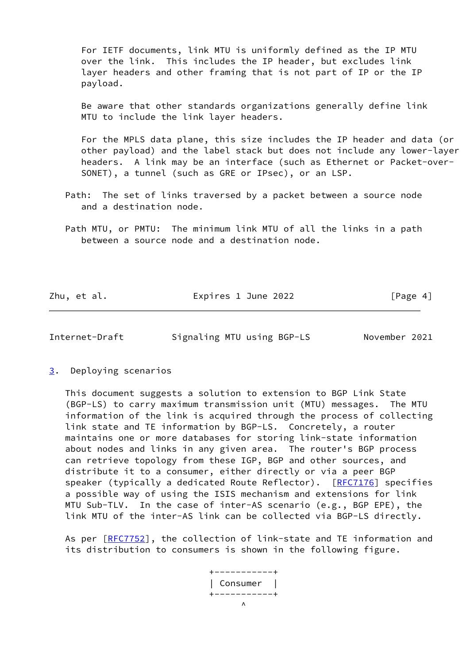For IETF documents, link MTU is uniformly defined as the IP MTU over the link. This includes the IP header, but excludes link layer headers and other framing that is not part of IP or the IP payload.

 Be aware that other standards organizations generally define link MTU to include the link layer headers.

 For the MPLS data plane, this size includes the IP header and data (or other payload) and the label stack but does not include any lower-layer headers. A link may be an interface (such as Ethernet or Packet-over- SONET), a tunnel (such as GRE or IPsec), or an LSP.

- Path: The set of links traversed by a packet between a source node and a destination node.
- Path MTU, or PMTU: The minimum link MTU of all the links in a path between a source node and a destination node.

Zhu, et al. **Expires 1 June 2022** [Page 4]

<span id="page-4-1"></span>Internet-Draft Signaling MTU using BGP-LS November 2021

<span id="page-4-0"></span>[3](#page-4-0). Deploying scenarios

 This document suggests a solution to extension to BGP Link State (BGP-LS) to carry maximum transmission unit (MTU) messages. The MTU information of the link is acquired through the process of collecting link state and TE information by BGP-LS. Concretely, a router maintains one or more databases for storing link-state information about nodes and links in any given area. The router's BGP process can retrieve topology from these IGP, BGP and other sources, and distribute it to a consumer, either directly or via a peer BGP speaker (typically a dedicated Route Reflector). [[RFC7176](https://datatracker.ietf.org/doc/pdf/rfc7176)] specifies a possible way of using the ISIS mechanism and extensions for link MTU Sub-TLV. In the case of inter-AS scenario (e.g., BGP EPE), the link MTU of the inter-AS link can be collected via BGP-LS directly.

As per [\[RFC7752](https://datatracker.ietf.org/doc/pdf/rfc7752)], the collection of link-state and TE information and its distribution to consumers is shown in the following figure.

 +-----------+ | Consumer | +-----------+  $\mathcal{N}$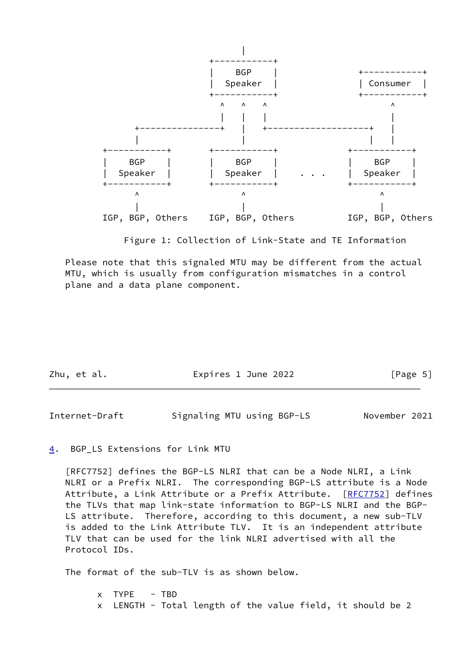

Figure 1: Collection of Link-State and TE Information

 Please note that this signaled MTU may be different from the actual MTU, which is usually from configuration mismatches in a control plane and a data plane component.

| Zhu, et al. | Expires 1 June 2022 | [Page 5] |
|-------------|---------------------|----------|
|             |                     |          |

<span id="page-5-1"></span>Internet-Draft Signaling MTU using BGP-LS November 2021

### <span id="page-5-0"></span>[4](#page-5-0). BGP\_LS Extensions for Link MTU

 [RFC7752] defines the BGP-LS NLRI that can be a Node NLRI, a Link NLRI or a Prefix NLRI. The corresponding BGP-LS attribute is a Node Attribute, a Link Attribute or a Prefix Attribute. [\[RFC7752](https://datatracker.ietf.org/doc/pdf/rfc7752)] defines the TLVs that map link-state information to BGP-LS NLRI and the BGP- LS attribute. Therefore, according to this document, a new sub-TLV is added to the Link Attribute TLV. It is an independent attribute TLV that can be used for the link NLRI advertised with all the Protocol IDs.

The format of the sub-TLV is as shown below.

 $x$  TYPE  $-$  TBD x LENGTH - Total length of the value field, it should be 2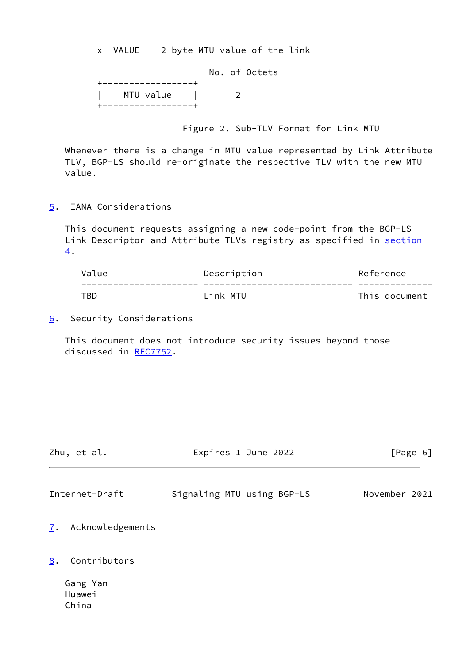x VALUE - 2-byte MTU value of the link

|                    |  | No. of Octets |
|--------------------|--|---------------|
| -----------------+ |  |               |
| MTU value          |  |               |
| -----------------+ |  |               |

Figure 2. Sub-TLV Format for Link MTU

 Whenever there is a change in MTU value represented by Link Attribute TLV, BGP-LS should re-originate the respective TLV with the new MTU value.

<span id="page-6-0"></span>[5](#page-6-0). IANA Considerations

 This document requests assigning a new code-point from the BGP-LS Link Descriptor and Attribute TLVs registry as specified in [section](#page-5-0) [4](#page-5-0).

| Value | Description | Reference     |
|-------|-------------|---------------|
|       |             |               |
| TBD   | link MTU    | This document |

<span id="page-6-1"></span>[6](#page-6-1). Security Considerations

 This document does not introduce security issues beyond those discussed in [RFC7752](https://datatracker.ietf.org/doc/pdf/rfc7752).

<span id="page-6-3"></span>

| Zhu, et al.                        | Expires 1 June 2022        | [Page 6]      |
|------------------------------------|----------------------------|---------------|
| Internet-Draft                     | Signaling MTU using BGP-LS | November 2021 |
| Acknowledgements<br>$\mathbf{I}$ . |                            |               |
| 8.<br>Contributors                 |                            |               |

<span id="page-6-4"></span><span id="page-6-2"></span> Gang Yan Huawei China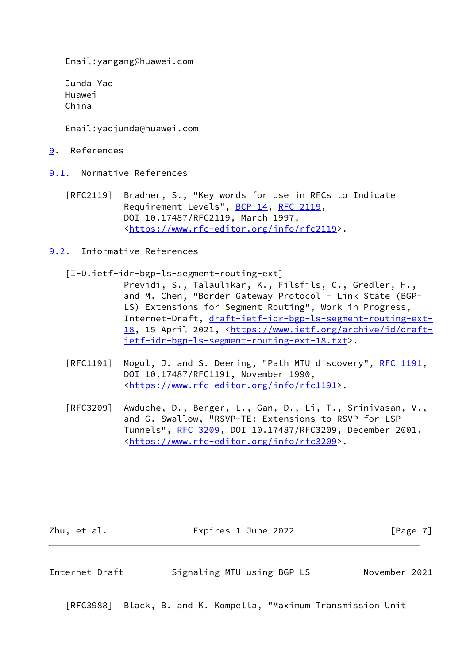Email:yangang@huawei.com

 Junda Yao Huawei China

Email:yaojunda@huawei.com

<span id="page-7-0"></span>[9](#page-7-0). References

<span id="page-7-1"></span>[9.1](#page-7-1). Normative References

- [RFC2119] Bradner, S., "Key words for use in RFCs to Indicate Requirement Levels", [BCP 14](https://datatracker.ietf.org/doc/pdf/bcp14), [RFC 2119](https://datatracker.ietf.org/doc/pdf/rfc2119), DOI 10.17487/RFC2119, March 1997, <[https://www.rfc-editor.org/info/rfc2119>](https://www.rfc-editor.org/info/rfc2119).
- <span id="page-7-3"></span><span id="page-7-2"></span>[9.2](#page-7-2). Informative References
	- [I-D.ietf-idr-bgp-ls-segment-routing-ext]
		- Previdi, S., Talaulikar, K., Filsfils, C., Gredler, H., and M. Chen, "Border Gateway Protocol - Link State (BGP- LS) Extensions for Segment Routing", Work in Progress, Internet-Draft, [draft-ietf-idr-bgp-ls-segment-routing-ext-](https://datatracker.ietf.org/doc/pdf/draft-ietf-idr-bgp-ls-segment-routing-ext-18) [18,](https://datatracker.ietf.org/doc/pdf/draft-ietf-idr-bgp-ls-segment-routing-ext-18) 15 April 2021, <[https://www.ietf.org/archive/id/draft](https://www.ietf.org/archive/id/draft-ietf-idr-bgp-ls-segment-routing-ext-18.txt) [ietf-idr-bgp-ls-segment-routing-ext-18.txt>](https://www.ietf.org/archive/id/draft-ietf-idr-bgp-ls-segment-routing-ext-18.txt).
	- [RFC1191] Mogul, J. and S. Deering, "Path MTU discovery", [RFC 1191,](https://datatracker.ietf.org/doc/pdf/rfc1191) DOI 10.17487/RFC1191, November 1990, <[https://www.rfc-editor.org/info/rfc1191>](https://www.rfc-editor.org/info/rfc1191).
	- [RFC3209] Awduche, D., Berger, L., Gan, D., Li, T., Srinivasan, V., and G. Swallow, "RSVP-TE: Extensions to RSVP for LSP Tunnels", [RFC 3209](https://datatracker.ietf.org/doc/pdf/rfc3209), DOI 10.17487/RFC3209, December 2001, <[https://www.rfc-editor.org/info/rfc3209>](https://www.rfc-editor.org/info/rfc3209).

Zhu, et al. **Expires 1 June 2022** [Page 7]

Internet-Draft Signaling MTU using BGP-LS November 2021

[RFC3988] Black, B. and K. Kompella, "Maximum Transmission Unit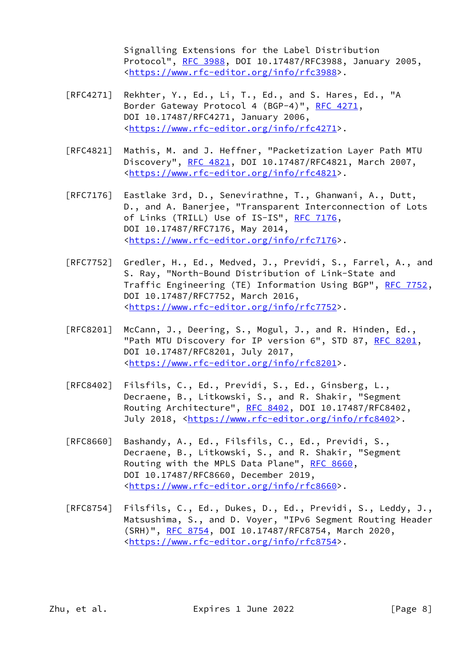Signalling Extensions for the Label Distribution Protocol", [RFC 3988](https://datatracker.ietf.org/doc/pdf/rfc3988), DOI 10.17487/RFC3988, January 2005, <[https://www.rfc-editor.org/info/rfc3988>](https://www.rfc-editor.org/info/rfc3988).

- [RFC4271] Rekhter, Y., Ed., Li, T., Ed., and S. Hares, Ed., "A Border Gateway Protocol 4 (BGP-4)", [RFC 4271,](https://datatracker.ietf.org/doc/pdf/rfc4271) DOI 10.17487/RFC4271, January 2006, <[https://www.rfc-editor.org/info/rfc4271>](https://www.rfc-editor.org/info/rfc4271).
- [RFC4821] Mathis, M. and J. Heffner, "Packetization Layer Path MTU Discovery", [RFC 4821,](https://datatracker.ietf.org/doc/pdf/rfc4821) DOI 10.17487/RFC4821, March 2007, <[https://www.rfc-editor.org/info/rfc4821>](https://www.rfc-editor.org/info/rfc4821).
- [RFC7176] Eastlake 3rd, D., Senevirathne, T., Ghanwani, A., Dutt, D., and A. Banerjee, "Transparent Interconnection of Lots of Links (TRILL) Use of IS-IS", [RFC 7176,](https://datatracker.ietf.org/doc/pdf/rfc7176) DOI 10.17487/RFC7176, May 2014, <[https://www.rfc-editor.org/info/rfc7176>](https://www.rfc-editor.org/info/rfc7176).
- [RFC7752] Gredler, H., Ed., Medved, J., Previdi, S., Farrel, A., and S. Ray, "North-Bound Distribution of Link-State and Traffic Engineering (TE) Information Using BGP", [RFC 7752,](https://datatracker.ietf.org/doc/pdf/rfc7752) DOI 10.17487/RFC7752, March 2016, <[https://www.rfc-editor.org/info/rfc7752>](https://www.rfc-editor.org/info/rfc7752).
- [RFC8201] McCann, J., Deering, S., Mogul, J., and R. Hinden, Ed., "Path MTU Discovery for IP version 6", STD 87, [RFC 8201](https://datatracker.ietf.org/doc/pdf/rfc8201), DOI 10.17487/RFC8201, July 2017, <[https://www.rfc-editor.org/info/rfc8201>](https://www.rfc-editor.org/info/rfc8201).
- [RFC8402] Filsfils, C., Ed., Previdi, S., Ed., Ginsberg, L., Decraene, B., Litkowski, S., and R. Shakir, "Segment Routing Architecture", [RFC 8402](https://datatracker.ietf.org/doc/pdf/rfc8402), DOI 10.17487/RFC8402, July 2018, <<https://www.rfc-editor.org/info/rfc8402>>.
- [RFC8660] Bashandy, A., Ed., Filsfils, C., Ed., Previdi, S., Decraene, B., Litkowski, S., and R. Shakir, "Segment Routing with the MPLS Data Plane", [RFC 8660](https://datatracker.ietf.org/doc/pdf/rfc8660), DOI 10.17487/RFC8660, December 2019, <[https://www.rfc-editor.org/info/rfc8660>](https://www.rfc-editor.org/info/rfc8660).
- [RFC8754] Filsfils, C., Ed., Dukes, D., Ed., Previdi, S., Leddy, J., Matsushima, S., and D. Voyer, "IPv6 Segment Routing Header (SRH)", [RFC 8754,](https://datatracker.ietf.org/doc/pdf/rfc8754) DOI 10.17487/RFC8754, March 2020, <[https://www.rfc-editor.org/info/rfc8754>](https://www.rfc-editor.org/info/rfc8754).